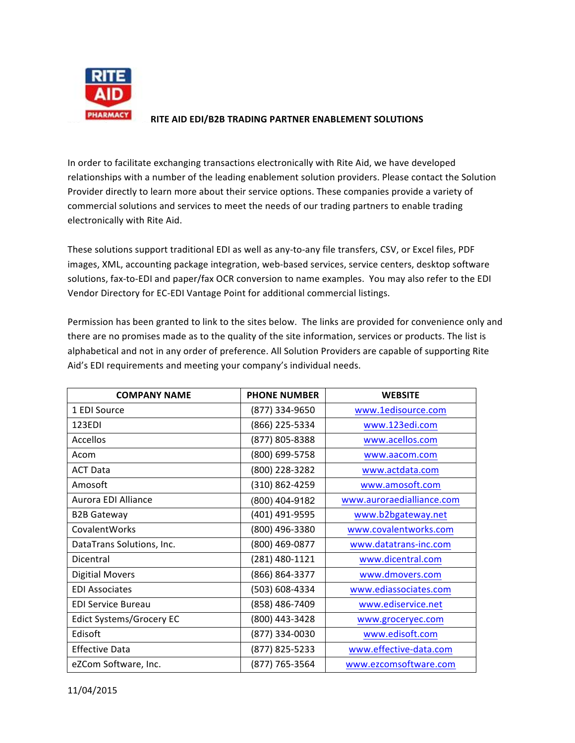

## **RITE AID EDI/B2B TRADING PARTNER ENABLEMENT SOLUTIONS**

In order to facilitate exchanging transactions electronically with Rite Aid, we have developed relationships with a number of the leading enablement solution providers. Please contact the Solution Provider directly to learn more about their service options. These companies provide a variety of commercial solutions and services to meet the needs of our trading partners to enable trading electronically with Rite Aid.

These solutions support traditional EDI as well as any-to-any file transfers, CSV, or Excel files, PDF images, XML, accounting package integration, web-based services, service centers, desktop software solutions, fax-to-EDI and paper/fax OCR conversion to name examples. You may also refer to the EDI Vendor Directory for EC-EDI Vantage Point for additional commercial listings.

Permission has been granted to link to the sites below. The links are provided for convenience only and there are no promises made as to the quality of the site information, services or products. The list is alphabetical and not in any order of preference. All Solution Providers are capable of supporting Rite Aid's EDI requirements and meeting your company's individual needs.

| <b>COMPANY NAME</b>       | <b>PHONE NUMBER</b> | <b>WEBSITE</b>            |
|---------------------------|---------------------|---------------------------|
| 1 EDI Source              | (877) 334-9650      | www.1edisource.com        |
| 123EDI                    | (866) 225-5334      | www.123edi.com            |
| Accellos                  | (877) 805-8388      | www.acellos.com           |
| Acom                      | (800) 699-5758      | www.aacom.com             |
| <b>ACT Data</b>           | (800) 228-3282      | www.actdata.com           |
| Amosoft                   | (310) 862-4259      | www.amosoft.com           |
| Aurora EDI Alliance       | (800) 404-9182      | www.auroraedialliance.com |
| <b>B2B Gateway</b>        | (401) 491-9595      | www.b2bgateway.net        |
| CovalentWorks             | (800) 496-3380      | www.covalentworks.com     |
| DataTrans Solutions, Inc. | (800) 469-0877      | www.datatrans-inc.com     |
| Dicentral                 | (281) 480-1121      | www.dicentral.com         |
| <b>Digitial Movers</b>    | (866) 864-3377      | www.dmovers.com           |
| <b>EDI Associates</b>     | (503) 608-4334      | www.ediassociates.com     |
| <b>EDI Service Bureau</b> | (858) 486-7409      | www.ediservice.net        |
| Edict Systems/Grocery EC  | (800) 443-3428      | www.groceryec.com         |
| Edisoft                   | (877) 334-0030      | www.edisoft.com           |
| <b>Effective Data</b>     | (877) 825-5233      | www.effective-data.com    |
| eZCom Software, Inc.      | (877) 765-3564      | www.ezcomsoftware.com     |